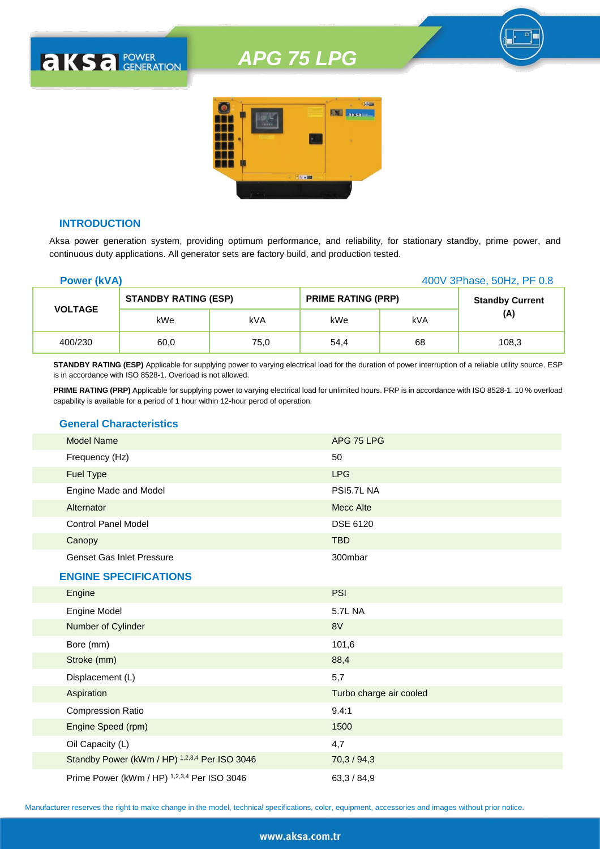

#### **INTRODUCTION**

**AKSA POWER** 

Aksa power generation system, providing optimum performance, and reliability, for stationary standby, prime power, and continuous duty applications. All generator sets are factory build, and production tested.

| <b>Power (kVA)</b> |                             |      |                           |     | 400V 3Phase, 50Hz, PF 0.8 |
|--------------------|-----------------------------|------|---------------------------|-----|---------------------------|
| <b>VOLTAGE</b>     | <b>STANDBY RATING (ESP)</b> |      | <b>PRIME RATING (PRP)</b> |     | <b>Standby Current</b>    |
|                    | kWe                         | kVA  | kWe                       | kVA | (A)                       |
| 400/230            | 60,0                        | 75,0 | 54.4                      | 68  | 108,3                     |

**STANDBY RATING (ESP)** Applicable for supplying power to varying electrical load for the duration of power interruption of a reliable utility source. ESP is in accordance with ISO 8528-1. Overload is not allowed.

**PRIME RATING (PRP)** Applicable for supplying power to varying electrical load for unlimited hours. PRP is in accordance with ISO 8528-1. 10 % overload capability is available for a period of 1 hour within 12-hour perod of operation.

#### **General Characteristics**

| <b>Model Name</b>                | APG 75 LPG      |
|----------------------------------|-----------------|
| Frequency (Hz)                   | 50              |
| Fuel Type                        | <b>LPG</b>      |
| Engine Made and Model            | PSI5.7L NA      |
| Alternator                       | Mecc Alte       |
| <b>Control Panel Model</b>       | <b>DSE 6120</b> |
| Canopy                           | <b>TBD</b>      |
| <b>Genset Gas Inlet Pressure</b> | 300mbar         |

#### **ENGINE SPECIFICATIONS**

| Engine                                        | <b>PSI</b>              |
|-----------------------------------------------|-------------------------|
| Engine Model                                  | 5.7L NA                 |
| Number of Cylinder                            | 8V                      |
| Bore (mm)                                     | 101,6                   |
| Stroke (mm)                                   | 88,4                    |
| Displacement (L)                              | 5,7                     |
| Aspiration                                    | Turbo charge air cooled |
| <b>Compression Ratio</b>                      | 9.4:1                   |
| Engine Speed (rpm)                            | 1500                    |
| Oil Capacity (L)                              | 4,7                     |
| Standby Power (kWm / HP) 1,2,3,4 Per ISO 3046 | 70,3/94,3               |
| Prime Power (kWm / HP) 1,2,3,4 Per ISO 3046   | 63,3/84,9               |

Manufacturer reserves the right to make change in the model, technical specifications, color, equipment, accessories and images without prior notice.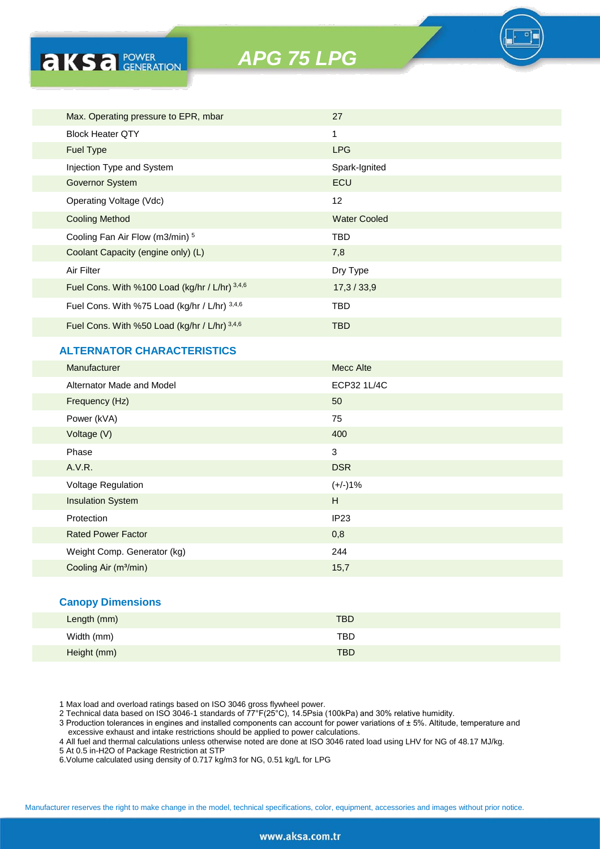

#### **ALTERNATOR CHARACTERISTICS**

**AKSA** POWER

| Manufacturer                      | Mecc Alte        |
|-----------------------------------|------------------|
| Alternator Made and Model         | ECP32 1L/4C      |
| Frequency (Hz)                    | 50               |
| Power (kVA)                       | 75               |
| Voltage (V)                       | 400              |
| Phase                             | 3                |
| A.V.R.                            | <b>DSR</b>       |
| Voltage Regulation                | $(+/-)1%$        |
| <b>Insulation System</b>          | H                |
| Protection                        | IP <sub>23</sub> |
| <b>Rated Power Factor</b>         | 0,8              |
| Weight Comp. Generator (kg)       | 244              |
| Cooling Air (m <sup>3</sup> /min) | 15,7             |
|                                   |                  |

#### **Canopy Dimensions**

| Length (mm) | <b>TBD</b> |
|-------------|------------|
| Width (mm)  | <b>TBD</b> |
| Height (mm) | <b>TBD</b> |

1 Max load and overload ratings based on ISO 3046 gross flywheel power.

2 Technical data based on ISO 3046-1 standards of 77°F(25°C), 14.5Psia (100kPa) and 30% relative humidity.

3 Production tolerances in engines and installed components can account for power variations of ± 5%. Altitude, temperature and excessive exhaust and intake restrictions should be applied to power calculations.

4 All fuel and thermal calculations unless otherwise noted are done at ISO 3046 rated load using LHV for NG of 48.17 MJ/kg.

5 At 0.5 in-H2O of Package Restriction at STP

6.Volume calculated using density of 0.717 kg/m3 for NG, 0.51 kg/L for LPG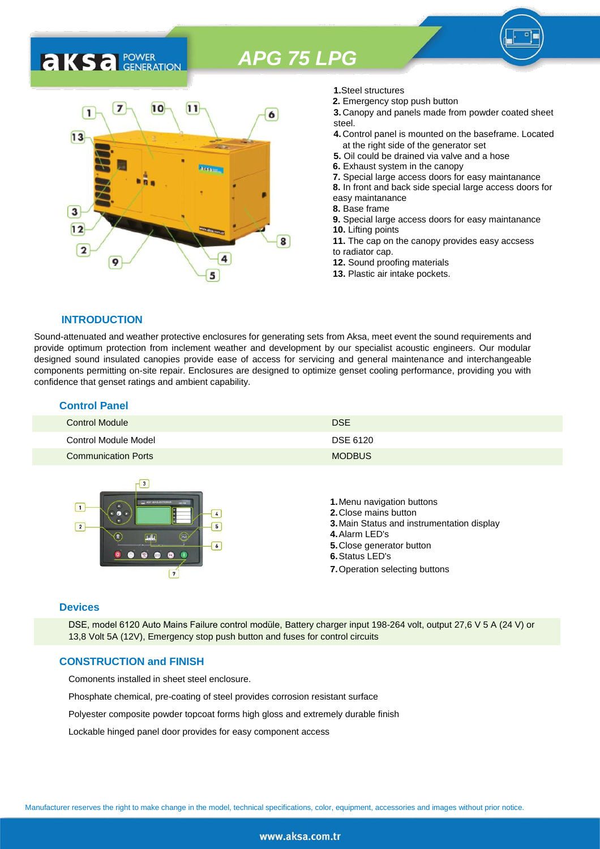# **AKSA** POWER



- **1.**Steel structures
- **2.** Emergency stop push button
- **3.** Canopy and panels made from powder coated sheet steel.
- **4.** Control panel is mounted on the baseframe. Located at the right side of the generator set
- **5.** Oil could be drained via valve and a hose
- **6.** Exhaust system in the canopy
- **7.** Special large access doors for easy maintanance
- **8.** In front and back side special large access doors for
- easy maintanance
- **8.** Base frame
- **9.** Special large access doors for easy maintanance **10.** Lifting points **11.** The cap on the canopy provides easy accsess
- to radiator cap.
- **12.** Sound proofing materials
- **13.** Plastic air intake pockets.

#### **INTRODUCTION**

Sound-attenuated and weather protective enclosures for generating sets from Aksa, meet event the sound requirements and provide optimum protection from inclement weather and development by our specialist acoustic engineers. Our modular designed sound insulated canopies provide ease of access for servicing and general maintenance and interchangeable components permitting on-site repair. Enclosures are designed to optimize genset cooling performance, providing you with confidence that genset ratings and ambient capability.

| <b>Control Panel</b>       |               |
|----------------------------|---------------|
| <b>Control Module</b>      | <b>DSE</b>    |
| Control Module Model       | DSE 6120      |
| <b>Communication Ports</b> | <b>MODBUS</b> |



#### **Devices**

DSE, model 6120 Auto Mains Failure control modüle, Battery charger input 198-264 volt, output 27,6 V 5 A (24 V) or 13,8 Volt 5A (12V), Emergency stop push button and fuses for control circuits

#### **CONSTRUCTION and FINISH**

Comonents installed in sheet steel enclosure.

Phosphate chemical, pre-coating of steel provides corrosion resistant surface

Polyester composite powder topcoat forms high gloss and extremely durable finish

Lockable hinged panel door provides for easy component access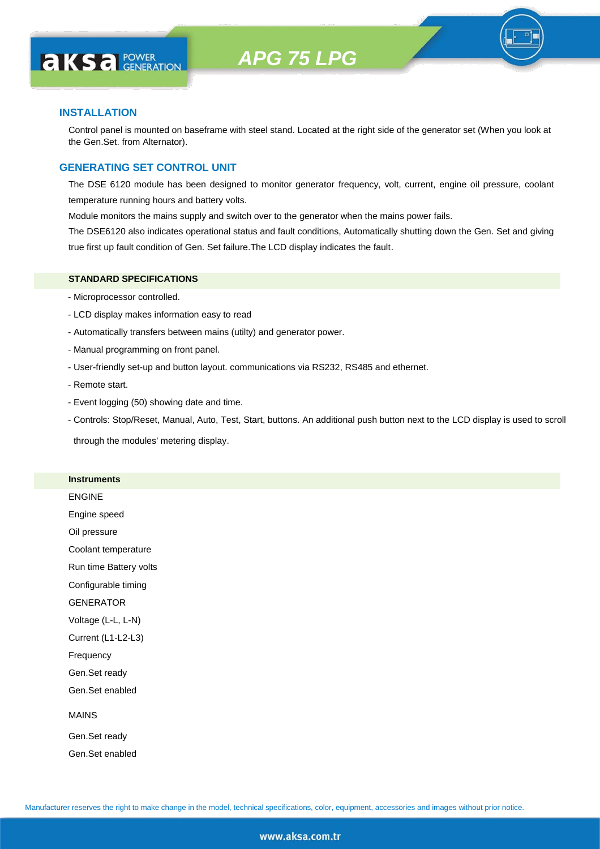

#### **INSTALLATION**

**AKS** *C C <b>C GENERATION* 

Control panel is mounted on baseframe with steel stand. Located at the right side of the generator set (When you look at the Gen.Set. from Alternator).

#### **GENERATING SET CONTROL UNIT**

The DSE 6120 module has been designed to monitor generator frequency, volt, current, engine oil pressure, coolant temperature running hours and battery volts.

Module monitors the mains supply and switch over to the generator when the mains power fails.

The DSE6120 also indicates operational status and fault conditions, Automatically shutting down the Gen. Set and giving true first up fault condition of Gen. Set failure.The LCD display indicates the fault.

#### **STANDARD SPECIFICATIONS**

- Microprocessor controlled.
- LCD display makes information easy to read
- Automatically transfers between mains (utilty) and generator power.
- Manual programming on front panel.
- User-friendly set-up and button layout. communications via RS232, RS485 and ethernet.
- Remote start.
- Event logging (50) showing date and time.
- Controls: Stop/Reset, Manual, Auto, Test, Start, buttons. An additional push button next to the LCD display is used to scroll

through the modules' metering display.

#### **Instruments**

ENGINE

Engine speed

Oil pressure

Coolant temperature

Run time Battery volts

Configurable timing

GENERATOR

Voltage (L-L, L-N)

Current (L1-L2-L3)

Frequency

Gen.Set ready

Gen.Set enabled

#### MAINS

Gen.Set ready Gen.Set enabled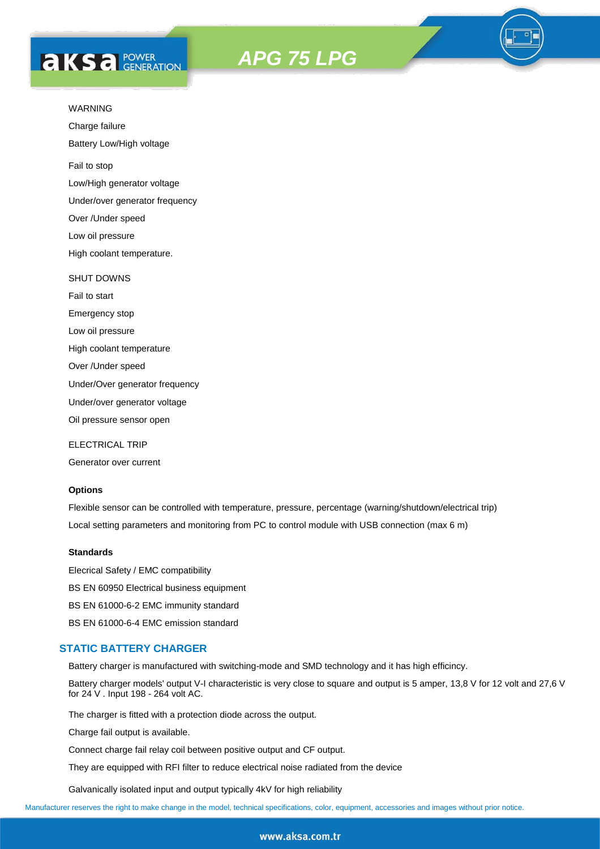## **AKS** *C C <b>C GENERATION*





Charge failure

Battery Low/High voltage

Fail to stop

Low/High generator voltage

Under/over generator frequency

Over /Under speed

Low oil pressure

High coolant temperature.

#### SHUT DOWNS

Fail to start Emergency stop Low oil pressure High coolant temperature Over /Under speed Under/Over generator frequency Under/over generator voltage

Oil pressure sensor open

ELECTRICAL TRIP

Generator over current

#### **Options**

Flexible sensor can be controlled with temperature, pressure, percentage (warning/shutdown/electrical trip) Local setting parameters and monitoring from PC to control module with USB connection (max 6 m)

#### **Standards**

Elecrical Safety / EMC compatibility BS EN 60950 Electrical business equipment BS EN 61000-6-2 EMC immunity standard BS EN 61000-6-4 EMC emission standard

#### **STATIC BATTERY CHARGER**

Battery charger is manufactured with switching-mode and SMD technology and it has high efficincy.

Battery charger models' output V-I characteristic is very close to square and output is 5 amper, 13,8 V for 12 volt and 27,6 V for 24 V . Input 198 - 264 volt AC.

The charger is fitted with a protection diode across the output.

Charge fail output is available.

Connect charge fail relay coil between positive output and CF output.

They are equipped with RFI filter to reduce electrical noise radiated from the device

Galvanically isolated input and output typically 4kV for high reliability

Manufacturer reserves the right to make change in the model, technical specifications, color, equipment, accessories and images without prior notice.

#### www.aksa.com.tr